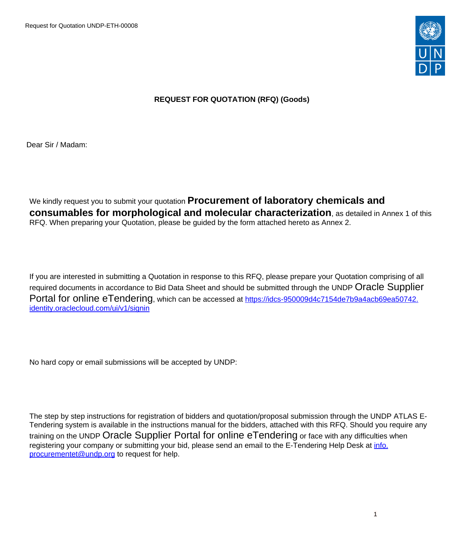Request for Quotation UNDP-ETH-00008



# **REQUEST FOR QUOTATION (RFQ) (Goods)**

Dear Sir / Madam:

We kindly request you to submit your quotation **Procurement of laboratory chemicals and consumables for morphological and molecular characterization**, as detailed in Annex 1 of this RFQ. When preparing your Quotation, please be guided by the form attached hereto as Annex 2.

If you are interested in submitting a Quotation in response to this RFQ, please prepare your Quotation comprising of all required documents in accordance to Bid Data Sheet and should be submitted through the UNDP Oracle Supplier Portal for online eTendering, which can be accessed at [https://idcs-950009d4c7154de7b9a4acb69ea50742.](https://idcs-950009d4c7154de7b9a4acb69ea50742.identity.oraclecloud.com/ui/v1/signin) [identity.oraclecloud.com/ui/v1/signin](https://idcs-950009d4c7154de7b9a4acb69ea50742.identity.oraclecloud.com/ui/v1/signin)

No hard copy or email submissions will be accepted by UNDP:

The step by step instructions for registration of bidders and quotation/proposal submission through the UNDP ATLAS E-Tendering system is available in the instructions manual for the bidders, attached with this RFQ. Should you require any training on the UNDP Oracle Supplier Portal for online eTendering or face with any difficulties when registering your company or submitting your bid, please send an email to the E-Tendering Help Desk at *info.* [procurementet@undp.org](mailto:info.procurementet@undp.org) to request for help.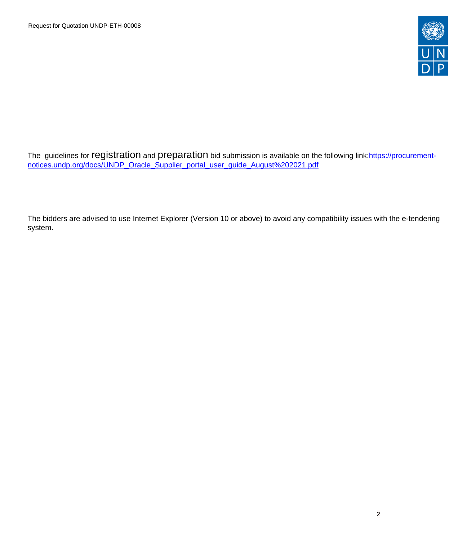

The guidelines for registration and preparation bid submission is available on the following link:[https://procurement](https://procurement-notices.undp.org/docs/UNDP_Oracle_Supplier_portal_user_guide_August%202021.pdf)[notices.undp.org/docs/UNDP\\_Oracle\\_Supplier\\_portal\\_user\\_guide\\_August%202021.pdf](https://procurement-notices.undp.org/docs/UNDP_Oracle_Supplier_portal_user_guide_August%202021.pdf)

The bidders are advised to use Internet Explorer (Version 10 or above) to avoid any compatibility issues with the e-tendering system.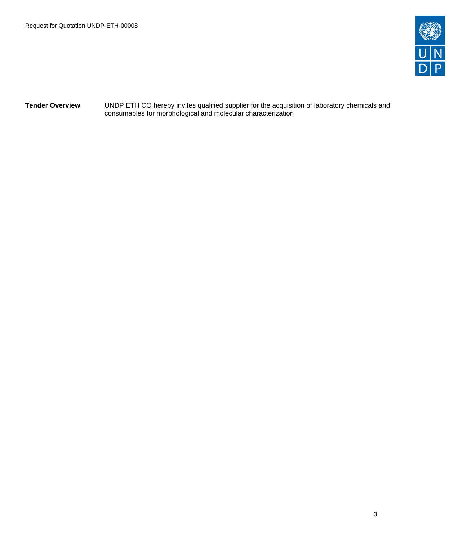

**Tender Overview** UNDP ETH CO hereby invites qualified supplier for the acquisition of laboratory chemicals and consumables for morphological and molecular characterization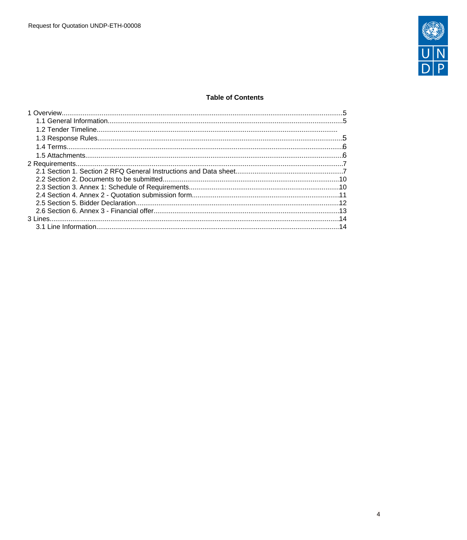

# **Table of Contents**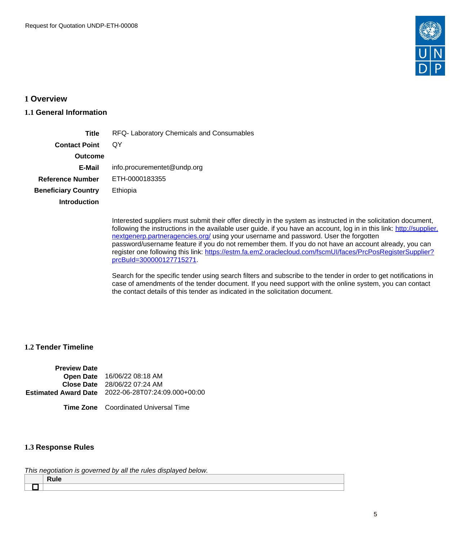

# <span id="page-4-0"></span>**1 Overview**

# <span id="page-4-1"></span>**1.1 General Information**

| Title                      | RFQ- Laboratory Chemicals and Consumables |
|----------------------------|-------------------------------------------|
| <b>Contact Point</b>       | OΥ                                        |
| <b>Outcome</b>             |                                           |
| E-Mail                     | info.procurementet@undp.org               |
| <b>Reference Number</b>    | ETH-0000183355                            |
| <b>Beneficiary Country</b> | Ethiopia                                  |
| Introduction               |                                           |
|                            |                                           |

Interested suppliers must submit their offer directly in the system as instructed in the solicitation document, following the instructions in the available user guide. if you have an account, log in in this link: [http://supplier.](http://supplier.nextgenerp.partneragencies.org/) [nextgenerp.partneragencies.org/](http://supplier.nextgenerp.partneragencies.org/) using your username and password. User the forgotten password/username feature if you do not remember them. If you do not have an account already, you can register one following this link: [https://estm.fa.em2.oraclecloud.com/fscmUI/faces/PrcPosRegisterSupplier?](https://estm.fa.em2.oraclecloud.com/fscmUI/faces/PrcPosRegisterSupplier?prcBuId=300000127715271) [prcBuId=300000127715271.](https://estm.fa.em2.oraclecloud.com/fscmUI/faces/PrcPosRegisterSupplier?prcBuId=300000127715271)

Search for the specific tender using search filters and subscribe to the tender in order to get notifications in case of amendments of the tender document. If you need support with the online system, you can contact the contact details of this tender as indicated in the solicitation document.

# **1.2 Tender Timeline**

| <b>Preview Date</b> |                                                    |
|---------------------|----------------------------------------------------|
|                     | Open Date 16/06/22 08:18 AM                        |
|                     | <b>Close Date</b> 28/06/22 07:24 AM                |
|                     | Estimated Award Date 2022-06-28T07:24:09.000+00:00 |
|                     |                                                    |

**Time Zone** Coordinated Universal Time

# <span id="page-4-2"></span>**1.3 Response Rules**

This negotiation is governed by all the rules displayed below.

| .<br>____ |  |  |
|-----------|--|--|
|           |  |  |
|           |  |  |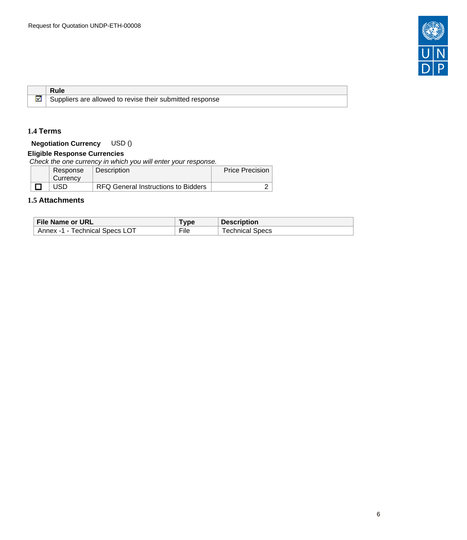

**Rule** Suppliers are allowed to revise their submitted response

# <span id="page-5-0"></span>**1.4 Terms**

M

**Negotiation Currency** USD ()

# **Eligible Response Currencies**

Check the one currency in which you will enter your response.

| Response | Description                         | <b>Price Precision</b> |
|----------|-------------------------------------|------------------------|
| Currency |                                     |                        |
| JSD      | RFQ General Instructions to Bidders |                        |

# <span id="page-5-1"></span>**1.5 Attachments**

| File Name or URL               | $T$ vpe | <b>Description</b>     |
|--------------------------------|---------|------------------------|
| Annex -1 - Technical Specs LOT | File    | <b>Technical Specs</b> |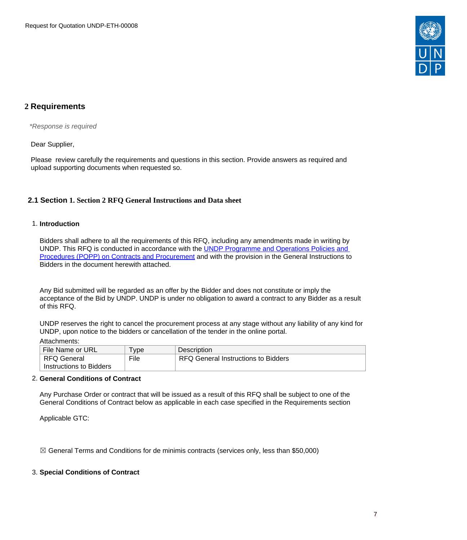

# <span id="page-6-0"></span>**2 Requirements**

\*Response is required

Dear Supplier,

Please review carefully the requirements and questions in this section. Provide answers as required and upload supporting documents when requested so.

# <span id="page-6-1"></span>**2.1 Section 1. Section 2 RFQ General Instructions and Data sheet**

### 1. **Introduction**

Bidders shall adhere to all the requirements of this RFQ, including any amendments made in writing by UNDP. This RFQ is conducted in accordance with the [UNDP Programme and Operations Policies and](https://popp.undp.org/SitePages/POPPBSUnit.aspx?TermID=254a9f96-b883-476a-8ef8-e81f93a2b38d&Menu=BusinessUnit)  [Procedures \(POPP\) on Contracts and Procurement](https://popp.undp.org/SitePages/POPPBSUnit.aspx?TermID=254a9f96-b883-476a-8ef8-e81f93a2b38d&Menu=BusinessUnit) and with the provision in the General Instructions to Bidders in the document herewith attached.

Any Bid submitted will be regarded as an offer by the Bidder and does not constitute or imply the acceptance of the Bid by UNDP. UNDP is under no obligation to award a contract to any Bidder as a result of this RFQ.

UNDP reserves the right to cancel the procurement process at any stage without any liability of any kind for UNDP, upon notice to the bidders or cancellation of the tender in the online portal.

#### Attachments:

| File Name or URL        | I vpe | Description                         |
|-------------------------|-------|-------------------------------------|
| RFQ General             | File  | RFQ General Instructions to Bidders |
| Instructions to Bidders |       |                                     |

### 2. **General Conditions of Contract**

Any Purchase Order or contract that will be issued as a result of this RFQ shall be subject to one of the General Conditions of Contract below as applicable in each case specified in the Requirements section

Applicable GTC:

 $\boxtimes$  General Terms and Conditions for de minimis contracts (services only, less than \$50,000)

# 3. **Special Conditions of Contract**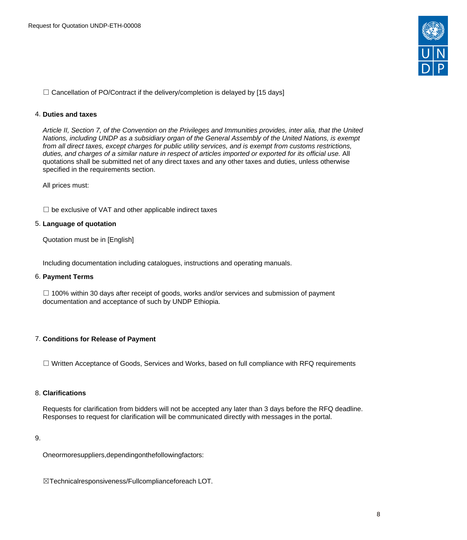

 $\Box$  Cancellation of PO/Contract if the delivery/completion is delayed by [15 days]

### 4. **Duties and taxes**

Article II, Section 7, of the Convention on the Privileges and Immunities provides, inter alia, that the United Nations, including UNDP as a subsidiary organ of the General Assembly of the United Nations, is exempt from all direct taxes, except charges for public utility services, and is exempt from customs restrictions, duties, and charges of a similar nature in respect of articles imported or exported for its official use. All quotations shall be submitted net of any direct taxes and any other taxes and duties, unless otherwise specified in the requirements section.

All prices must:

 $\Box$  be exclusive of VAT and other applicable indirect taxes

# 5. **Language of quotation**

Quotation must be in [English]

Including documentation including catalogues, instructions and operating manuals.

#### 6. **Payment Terms**

 $\Box$  100% within 30 days after receipt of goods, works and/or services and submission of payment documentation and acceptance of such by UNDP Ethiopia.

# 7. **Conditions for Release of Payment**

☐ Written Acceptance of Goods, Services and Works, based on full compliance with RFQ requirements

#### 8. **Clarifications**

Requests for clarification from bidders will not be accepted any later than 3 days before the RFQ deadline. Responses to request for clarification will be communicated directly with messages in the portal.

#### 9.

Oneormoresuppliers,dependingonthefollowingfactors:

☒Technicalresponsiveness/Fullcomplianceforeach LOT.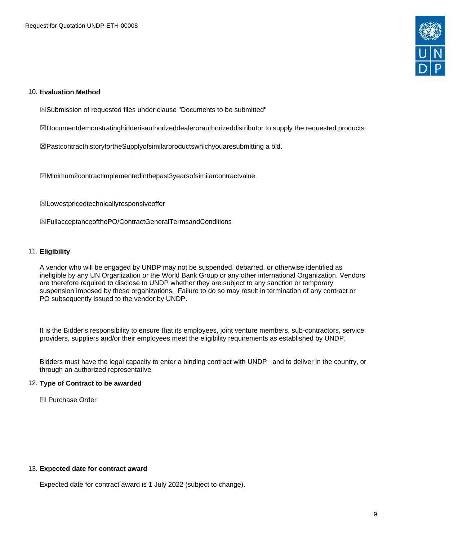

#### 10. **Evaluation Method**

☒Submission of requested files under clause "Documents to be submitted"

☒Documentdemonstratingbidderisauthorizeddealerorauthorizeddistributor to supply the requested products.

☒PastcontracthistoryfortheSupplyofsimilarproductswhichyouaresubmitting a bid.

☒Minimum2contractimplementedinthepast3yearsofsimilarcontractvalue.

☒Lowestpricedtechnicallyresponsiveoffer

☒FullacceptanceofthePO/ContractGeneralTermsandConditions

### 11. **Eligibility**

A vendor who will be engaged by UNDP may not be suspended, debarred, or otherwise identified as ineligible by any UN Organization or the World Bank Group or any other international Organization. Vendors are therefore required to disclose to UNDP whether they are subject to any sanction or temporary suspension imposed by these organizations. Failure to do so may result in termination of any contract or PO subsequently issued to the vendor by UNDP.

It is the Bidder's responsibility to ensure that its employees, joint venture members, sub-contractors, service providers, suppliers and/or their employees meet the eligibility requirements as established by UNDP.

Bidders must have the legal capacity to enter a binding contract with UNDP and to deliver in the country, or through an authorized representative

#### 12. **Type of Contract to be awarded**

☒ Purchase Order

#### 13. **Expected date for contract award**

Expected date for contract award is 1 July 2022 (subject to change).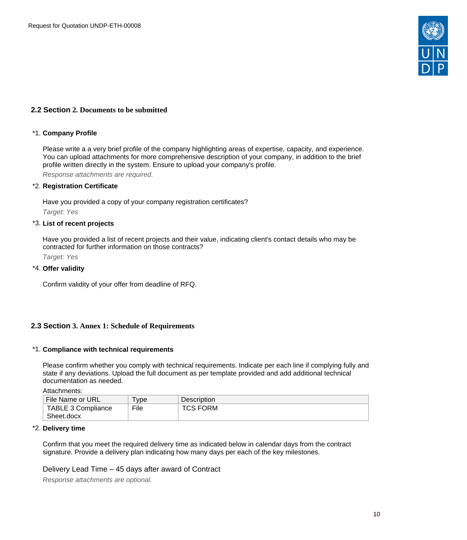

# <span id="page-9-0"></span>**2.2 Section 2. Documents to be submitted**

#### \*1. **Company Profile**

Please write a a very brief profile of the company highlighting areas of expertise, capacity, and experience. You can upload attachments for more comprehensive description of your company, in addition to the brief profile written directly in the system. Ensure to upload your company's profile.

Response attachments are required*.*

#### \*2. **Registration Certificate**

Have you provided a copy of your company registration certificates? Target: Yes

#### \*3. **List of recent projects**

Have you provided a list of recent projects and their value, indicating client's contact details who may be contracted for further information on those contracts?

Target: Yes

#### \*4. **Offer validity**

Confirm validity of your offer from deadline of RFQ.

#### <span id="page-9-1"></span>**2.3 Section 3. Annex 1: Schedule of Requirements**

#### \*1. **Compliance with technical requirements**

Please confirm whether you comply with technical requirements. Indicate per each line if complying fully and state if any deviations. Upload the full document as per template provided and add additional technical documentation as needed.

Attachments:

| File Name or URL          | <b>vpe</b> | <b>Description</b> |
|---------------------------|------------|--------------------|
| <b>TABLE 3 Compliance</b> | File       | TCS FORM           |
| Sheet.docx                |            |                    |

#### \*2. **Delivery time**

Confirm that you meet the required delivery time as indicated below in calendar days from the contract signature. Provide a delivery plan indicating how many days per each of the key milestones.

Delivery Lead Time – 45 days after award of Contract

Response attachments are optional*.*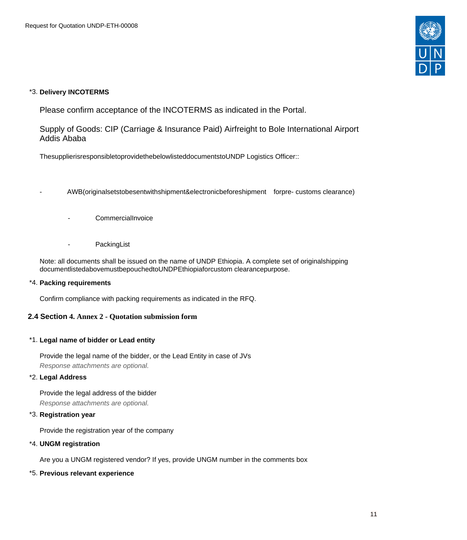

# \*3. **Delivery INCOTERMS**

Please confirm acceptance of the INCOTERMS as indicated in the Portal.

Supply of Goods: CIP (Carriage & Insurance Paid) Airfreight to Bole International Airport Addis Ababa

ThesupplierisresponsibletoprovidethebelowlisteddocumentstoUNDP Logistics Officer::

- AWB(originalsetstobesentwithshipment&electronicbeforeshipment forpre- customs clearance)

- CommercialInvoice
- PackingList

Note: all documents shall be issued on the name of UNDP Ethiopia. A complete set of originalshipping documentlistedabovemustbepouchedtoUNDPEthiopiaforcustom clearancepurpose.

# \*4. **Packing requirements**

Confirm compliance with packing requirements as indicated in the RFQ.

# <span id="page-10-0"></span>**2.4 Section 4. Annex 2 - Quotation submission form**

# \*1. **Legal name of bidder or Lead entity**

Provide the legal name of the bidder, or the Lead Entity in case of JVs Response attachments are optional*.*

# \*2. **Legal Address**

Provide the legal address of the bidder

Response attachments are optional*.*

# \*3. **Registration year**

Provide the registration year of the company

# \*4. **UNGM registration**

Are you a UNGM registered vendor? If yes, provide UNGM number in the comments box

# \*5. **Previous relevant experience**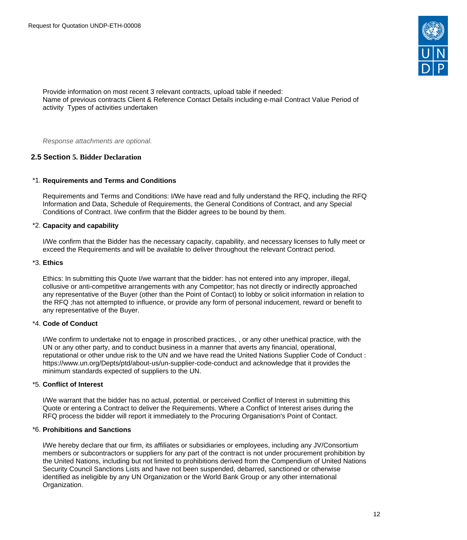

Provide information on most recent 3 relevant contracts, upload table if needed: Name of previous contracts Client & Reference Contact Details including e-mail Contract Value Period of activity Types of activities undertaken

Response attachments are optional*.*

# <span id="page-11-0"></span>**2.5 Section 5. Bidder Declaration**

#### \*1. **Requirements and Terms and Conditions**

Requirements and Terms and Conditions: I/We have read and fully understand the RFQ, including the RFQ Information and Data, Schedule of Requirements, the General Conditions of Contract, and any Special Conditions of Contract. I/we confirm that the Bidder agrees to be bound by them.

#### \*2. **Capacity and capability**

I/We confirm that the Bidder has the necessary capacity, capability, and necessary licenses to fully meet or exceed the Requirements and will be available to deliver throughout the relevant Contract period.

# \*3. **Ethics**

Ethics: In submitting this Quote I/we warrant that the bidder: has not entered into any improper, illegal, collusive or anti-competitive arrangements with any Competitor; has not directly or indirectly approached any representative of the Buyer (other than the Point of Contact) to lobby or solicit information in relation to the RFQ ;has not attempted to influence, or provide any form of personal inducement, reward or benefit to any representative of the Buyer.

#### \*4. **Code of Conduct**

I/We confirm to undertake not to engage in proscribed practices, , or any other unethical practice, with the UN or any other party, and to conduct business in a manner that averts any financial, operational, reputational or other undue risk to the UN and we have read the United Nations Supplier Code of Conduct : https://www.un.org/Depts/ptd/about-us/un-supplier-code-conduct and acknowledge that it provides the minimum standards expected of suppliers to the UN.

#### \*5. **Conflict of Interest**

I/We warrant that the bidder has no actual, potential, or perceived Conflict of Interest in submitting this Quote or entering a Contract to deliver the Requirements. Where a Conflict of Interest arises during the RFQ process the bidder will report it immediately to the Procuring Organisation's Point of Contact.

#### \*6. **Prohibitions and Sanctions**

l/We hereby declare that our firm, its affiliates or subsidiaries or employees, including any JV/Consortium members or subcontractors or suppliers for any part of the contract is not under procurement prohibition by the United Nations, including but not limited to prohibitions derived from the Compendium of United Nations Security Council Sanctions Lists and have not been suspended, debarred, sanctioned or otherwise identified as ineligible by any UN Organization or the World Bank Group or any other international Organization.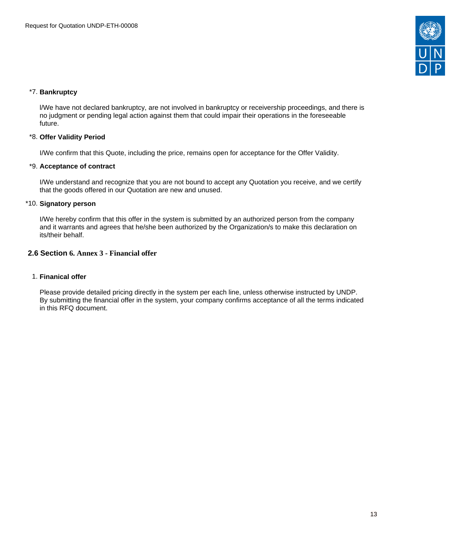

# \*7. **Bankruptcy**

l/We have not declared bankruptcy, are not involved in bankruptcy or receivership proceedings, and there is no judgment or pending legal action against them that could impair their operations in the foreseeable future.

# \*8. **Offer Validity Period**

I/We confirm that this Quote, including the price, remains open for acceptance for the Offer Validity.

### \*9. **Acceptance of contract**

I/We understand and recognize that you are not bound to accept any Quotation you receive, and we certify that the goods offered in our Quotation are new and unused.

### \*10. **Signatory person**

I/We hereby confirm that this offer in the system is submitted by an authorized person from the company and it warrants and agrees that he/she been authorized by the Organization/s to make this declaration on its/their behalf.

# <span id="page-12-0"></span>**2.6 Section 6. Annex 3 - Financial offer**

#### 1. **Finanical offer**

Please provide detailed pricing directly in the system per each line, unless otherwise instructed by UNDP. By submitting the financial offer in the system, your company confirms acceptance of all the terms indicated in this RFQ document.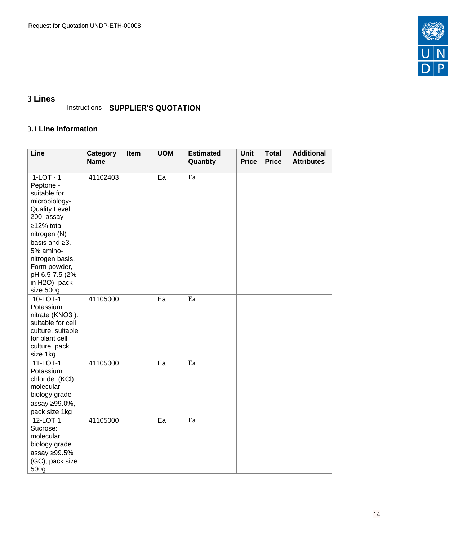

# <span id="page-13-0"></span>**3 Lines**

# Instructions **SUPPLIER'S QUOTATION**

# <span id="page-13-1"></span>**3.1 Line Information**

| Line                                                                                                                                                                                                                                                 | <b>Category</b><br><b>Name</b> | Item | <b>UOM</b> | <b>Estimated</b><br>Quantity | <b>Unit</b><br><b>Price</b> | <b>Total</b><br><b>Price</b> | <b>Additional</b><br><b>Attributes</b> |
|------------------------------------------------------------------------------------------------------------------------------------------------------------------------------------------------------------------------------------------------------|--------------------------------|------|------------|------------------------------|-----------------------------|------------------------------|----------------------------------------|
| $1-LOT - 1$<br>Peptone -<br>suitable for<br>microbiology-<br><b>Quality Level</b><br>200, assay<br>≥12% total<br>nitrogen (N)<br>basis and $\geq$ 3.<br>5% amino-<br>nitrogen basis,<br>Form powder,<br>pH 6.5-7.5 (2%<br>in H2O)- pack<br>size 500g | 41102403                       |      | Ea         | Ea                           |                             |                              |                                        |
| 10-LOT-1<br>Potassium<br>nitrate (KNO3):<br>suitable for cell<br>culture, suitable<br>for plant cell<br>culture, pack<br>size 1kg                                                                                                                    | 41105000                       |      | Ea         | Ea                           |                             |                              |                                        |
| 11-LOT-1<br>Potassium<br>chloride (KCI):<br>molecular<br>biology grade<br>assay ≥99.0%,<br>pack size 1kg                                                                                                                                             | 41105000                       |      | Ea         | Ea                           |                             |                              |                                        |
| 12-LOT 1<br>Sucrose:<br>molecular<br>biology grade<br>assay ≥99.5%<br>(GC), pack size<br>500g                                                                                                                                                        | 41105000                       |      | Ea         | Ea                           |                             |                              |                                        |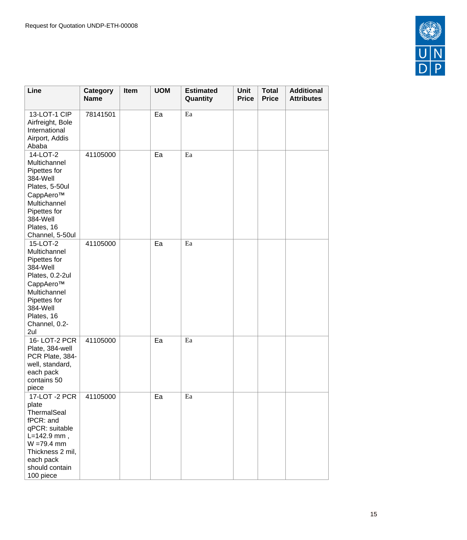

| Line                                                                                                                                                                     | Category<br><b>Name</b> | Item | <b>UOM</b> | <b>Estimated</b><br>Quantity | <b>Unit</b><br><b>Price</b> | <b>Total</b><br><b>Price</b> | <b>Additional</b><br><b>Attributes</b> |
|--------------------------------------------------------------------------------------------------------------------------------------------------------------------------|-------------------------|------|------------|------------------------------|-----------------------------|------------------------------|----------------------------------------|
| 13-LOT-1 CIP<br>Airfreight, Bole<br>International<br>Airport, Addis<br>Ababa                                                                                             | 78141501                |      | Ea         | Ea                           |                             |                              |                                        |
| 14-LOT-2<br>Multichannel<br>Pipettes for<br>384-Well<br>Plates, 5-50ul<br>CappAero™<br>Multichannel<br>Pipettes for<br>384-Well<br>Plates, 16<br>Channel, 5-50ul         | 41105000                |      | Ea         | Ea                           |                             |                              |                                        |
| 15-LOT-2<br>Multichannel<br>Pipettes for<br>384-Well<br>Plates, 0.2-2ul<br>CappAero™<br>Multichannel<br>Pipettes for<br>384-Well<br>Plates, 16<br>Channel, 0.2-<br>2ul   | 41105000                |      | Ea         | Ea                           |                             |                              |                                        |
| 16-LOT-2 PCR<br>Plate, 384-well<br>PCR Plate, 384-<br>well, standard,<br>each pack<br>contains 50<br>piece                                                               | 41105000                |      | Ea         | Ea                           |                             |                              |                                        |
| 17-LOT -2 PCR<br>plate<br>ThermalSeal<br>fPCR: and<br>qPCR: suitable<br>$L = 142.9$ mm,<br>$W = 79.4$ mm<br>Thickness 2 mil,<br>each pack<br>should contain<br>100 piece | 41105000                |      | Ea         | Ea                           |                             |                              |                                        |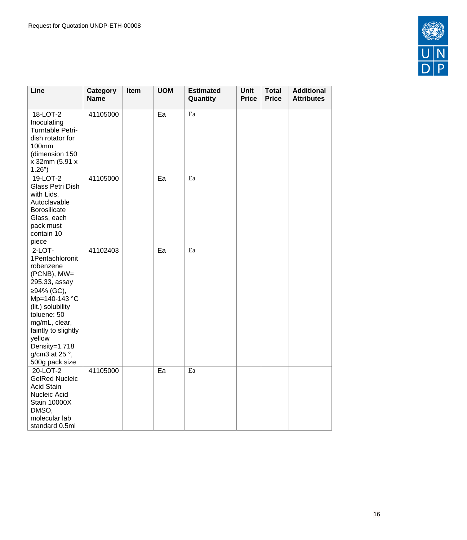

| Line                                                                                                                                                                                                                                                        | Category<br><b>Name</b> | Item | <b>UOM</b> | <b>Estimated</b><br>Quantity | Unit<br><b>Price</b> | <b>Total</b><br><b>Price</b> | <b>Additional</b><br><b>Attributes</b> |
|-------------------------------------------------------------------------------------------------------------------------------------------------------------------------------------------------------------------------------------------------------------|-------------------------|------|------------|------------------------------|----------------------|------------------------------|----------------------------------------|
| 18-LOT-2<br>Inoculating<br>Turntable Petri-<br>dish rotator for<br>100mm<br>(dimension 150<br>x 32mm (5.91 x<br>$1.26"$ )                                                                                                                                   | 41105000                |      | Ea         | Ea                           |                      |                              |                                        |
| 19-LOT-2<br>Glass Petri Dish<br>with Lids,<br>Autoclavable<br>Borosilicate<br>Glass, each<br>pack must<br>contain 10<br>piece                                                                                                                               | 41105000                |      | Ea         | Ea                           |                      |                              |                                        |
| $2-LOT-$<br>1Pentachloronit<br>robenzene<br>(PCNB), MW=<br>295.33, assay<br>≥94% (GC),<br>Mp=140-143 °C<br>(lit.) solubility<br>toluene: 50<br>mg/mL, clear,<br>faintly to slightly<br>yellow<br>Density=1.718<br>g/cm3 at 25 $\degree$ ,<br>500g pack size | 41102403                |      | Ea         | Ea                           |                      |                              |                                        |
| 20-LOT-2<br><b>GelRed Nucleic</b><br><b>Acid Stain</b><br>Nucleic Acid<br><b>Stain 10000X</b><br>DMSO,<br>molecular lab<br>standard 0.5ml                                                                                                                   | 41105000                |      | Ea         | Ea                           |                      |                              |                                        |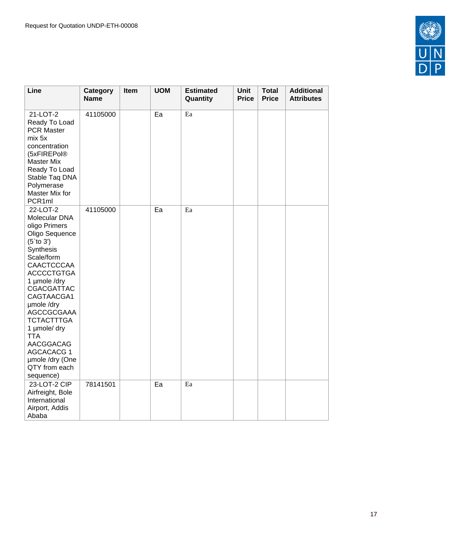

| Line                                                                                                                                                                                                                                                                                                                                                             | Category<br><b>Name</b> | Item | <b>UOM</b> | <b>Estimated</b><br>Quantity | Unit<br><b>Price</b> | <b>Total</b><br><b>Price</b> | <b>Additional</b><br><b>Attributes</b> |
|------------------------------------------------------------------------------------------------------------------------------------------------------------------------------------------------------------------------------------------------------------------------------------------------------------------------------------------------------------------|-------------------------|------|------------|------------------------------|----------------------|------------------------------|----------------------------------------|
| 21-LOT-2<br>Ready To Load<br><b>PCR Master</b><br>mix 5x<br>concentration<br>(5xFIREPol®<br><b>Master Mix</b><br>Ready To Load<br>Stable Taq DNA<br>Polymerase<br>Master Mix for<br>PCR 1ml                                                                                                                                                                      | 41105000                |      | Ea         | Ea                           |                      |                              |                                        |
| 22-LOT-2<br>Molecular DNA<br>oligo Primers<br>Oligo Sequence<br>$(5$ `to 3')<br>Synthesis<br>Scale/form<br><b>CAACTCCCAA</b><br><b>ACCCCTGTGA</b><br>1 µmole /dry<br><b>CGACGATTAC</b><br>CAGTAACGA 1<br>umole /dry<br>AGCCGCGAAA<br><b>TCTACTTTGA</b><br>1 µmole/ dry<br><b>TTA</b><br>AACGGACAG<br>AGCACACG 1<br>umole /dry (One<br>QTY from each<br>sequence) | 41105000                |      | Ea         | Ea                           |                      |                              |                                        |
| 23-LOT-2 CIP<br>Airfreight, Bole<br>International<br>Airport, Addis<br>Ababa                                                                                                                                                                                                                                                                                     | 78141501                |      | Ea         | Ea                           |                      |                              |                                        |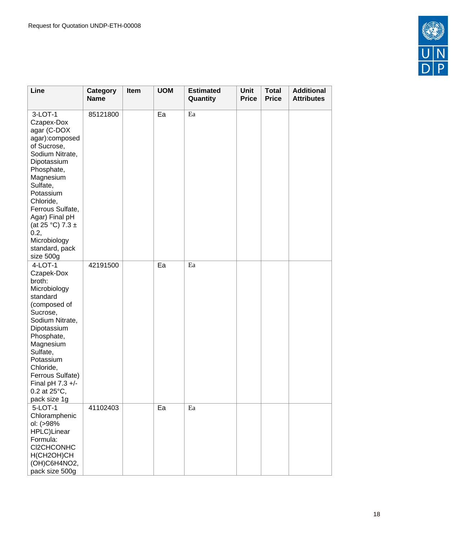

| Line                                                                                                                                                                                                                                                                                          | Category<br><b>Name</b> | Item | <b>UOM</b> | <b>Estimated</b><br>Quantity | Unit<br><b>Price</b> | <b>Total</b><br><b>Price</b> | <b>Additional</b><br><b>Attributes</b> |
|-----------------------------------------------------------------------------------------------------------------------------------------------------------------------------------------------------------------------------------------------------------------------------------------------|-------------------------|------|------------|------------------------------|----------------------|------------------------------|----------------------------------------|
| 3-LOT-1<br>Czapex-Dox<br>agar (C-DOX<br>agar):composed<br>of Sucrose,<br>Sodium Nitrate,<br>Dipotassium<br>Phosphate,<br>Magnesium<br>Sulfate,<br>Potassium<br>Chloride,<br>Ferrous Sulfate,<br>Agar) Final pH<br>(at 25 °C) 7.3 $\pm$<br>0.2,<br>Microbiology<br>standard, pack<br>size 500g | 85121800                |      | Ea         | Ea                           |                      |                              |                                        |
| $4-LOT-1$<br>Czapek-Dox<br>broth:<br>Microbiology<br>standard<br>(composed of<br>Sucrose,<br>Sodium Nitrate,<br>Dipotassium<br>Phosphate,<br>Magnesium<br>Sulfate,<br>Potassium<br>Chloride,<br>Ferrous Sulfate)<br>Final pH $7.3 +/-$<br>$0.2$ at $25^{\circ}$ C,<br>pack size 1g            | 42191500                |      | Ea         | Ea                           |                      |                              |                                        |
| 5-LOT-1<br>Chloramphenic<br>ol: (>98%<br>HPLC)Linear<br>Formula:<br>CI2CHCONHC<br>H(CH2OH)CH<br>(OH)C6H4NO2,<br>pack size 500g                                                                                                                                                                | 41102403                |      | Ea         | Ea                           |                      |                              |                                        |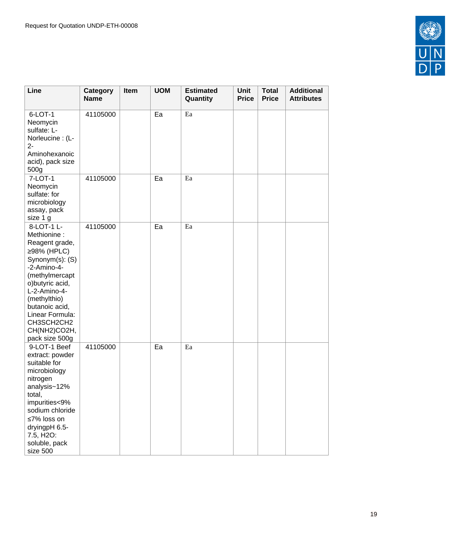

| Line                                                                                                                                                                                                                                                       | Category<br><b>Name</b> | Item | <b>UOM</b> | <b>Estimated</b><br>Quantity | <b>Unit</b><br><b>Price</b> | <b>Total</b><br><b>Price</b> | <b>Additional</b><br><b>Attributes</b> |
|------------------------------------------------------------------------------------------------------------------------------------------------------------------------------------------------------------------------------------------------------------|-------------------------|------|------------|------------------------------|-----------------------------|------------------------------|----------------------------------------|
| 6-LOT-1<br>Neomycin<br>sulfate: L-<br>Norleucine: (L-<br>$2 -$<br>Aminohexanoic<br>acid), pack size<br>500g                                                                                                                                                | 41105000                |      | Ea         | Ea                           |                             |                              |                                        |
| 7-LOT-1<br>Neomycin<br>sulfate: for<br>microbiology<br>assay, pack<br>size 1 g                                                                                                                                                                             | 41105000                |      | Ea         | Ea                           |                             |                              |                                        |
| 8-LOT-1 L-<br>Methionine:<br>Reagent grade,<br>≥98% (HPLC)<br>Synonym(s): (S)<br>$-2$ -Amino-4-<br>(methylmercapt<br>o) butyric acid,<br>L-2-Amino-4-<br>(methylthio)<br>butanoic acid,<br>Linear Formula:<br>CH3SCH2CH2<br>CH(NH2)CO2H,<br>pack size 500g | 41105000                |      | Ea         | Ea                           |                             |                              |                                        |
| 9-LOT-1 Beef<br>extract: powder<br>suitable for<br>microbiology<br>nitrogen<br>analysis~12%<br>total,<br>impurities<9%<br>sodium chloride<br>≤7% loss on<br>dryingpH 6.5-<br>7.5, H2O:<br>soluble, pack<br>size 500                                        | 41105000                |      | Ea         | Ea                           |                             |                              |                                        |